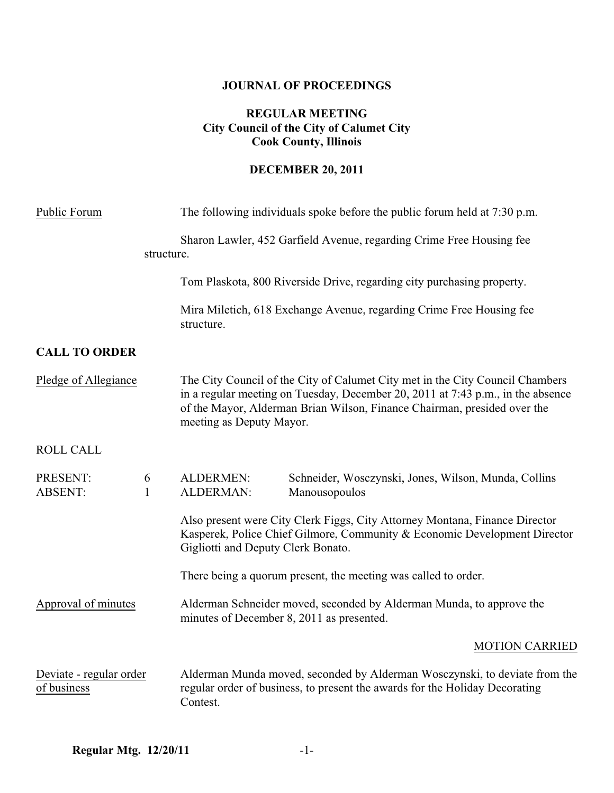# **JOURNAL OF PROCEEDINGS**

# **REGULAR MEETING City Council of the City of Calumet City Cook County, Illinois**

# **DECEMBER 20, 2011**

| Public Forum                           |                   | The following individuals spoke before the public forum held at 7:30 p.m.                                                                                                                                                                                                |  |
|----------------------------------------|-------------------|--------------------------------------------------------------------------------------------------------------------------------------------------------------------------------------------------------------------------------------------------------------------------|--|
|                                        | structure.        | Sharon Lawler, 452 Garfield Avenue, regarding Crime Free Housing fee                                                                                                                                                                                                     |  |
|                                        |                   | Tom Plaskota, 800 Riverside Drive, regarding city purchasing property.                                                                                                                                                                                                   |  |
|                                        |                   | Mira Miletich, 618 Exchange Avenue, regarding Crime Free Housing fee<br>structure.                                                                                                                                                                                       |  |
| <b>CALL TO ORDER</b>                   |                   |                                                                                                                                                                                                                                                                          |  |
| Pledge of Allegiance                   |                   | The City Council of the City of Calumet City met in the City Council Chambers<br>in a regular meeting on Tuesday, December 20, 2011 at 7:43 p.m., in the absence<br>of the Mayor, Alderman Brian Wilson, Finance Chairman, presided over the<br>meeting as Deputy Mayor. |  |
| <b>ROLL CALL</b>                       |                   |                                                                                                                                                                                                                                                                          |  |
| PRESENT:<br><b>ABSENT:</b>             | 6<br>$\mathbf{1}$ | <b>ALDERMEN:</b><br>Schneider, Wosczynski, Jones, Wilson, Munda, Collins<br>ALDERMAN:<br>Manousopoulos                                                                                                                                                                   |  |
|                                        |                   | Also present were City Clerk Figgs, City Attorney Montana, Finance Director<br>Kasperek, Police Chief Gilmore, Community & Economic Development Director<br>Gigliotti and Deputy Clerk Bonato.                                                                           |  |
|                                        |                   | There being a quorum present, the meeting was called to order.                                                                                                                                                                                                           |  |
| Approval of minutes                    |                   | Alderman Schneider moved, seconded by Alderman Munda, to approve the<br>minutes of December 8, 2011 as presented.                                                                                                                                                        |  |
|                                        |                   | <b>MOTION CARRIED</b>                                                                                                                                                                                                                                                    |  |
| Deviate - regular order<br>of business |                   | Alderman Munda moved, seconded by Alderman Wosczynski, to deviate from the<br>regular order of business, to present the awards for the Holiday Decorating<br>Contest.                                                                                                    |  |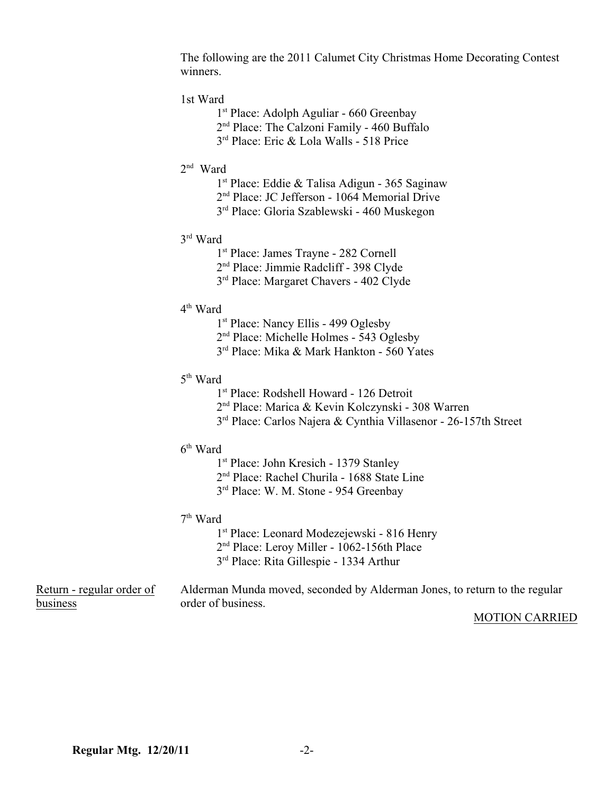The following are the 2011 Calumet City Christmas Home Decorating Contest winners.

## 1st Ward

- 1<sup>st</sup> Place: Adolph Aguliar 660 Greenbay
- 2<sup>nd</sup> Place: The Calzoni Family 460 Buffalo
- $3<sup>rd</sup>$  Place: Eric & Lola Walls 518 Price
- $2<sup>nd</sup>$  Ward
	- $1<sup>st</sup>$  Place: Eddie & Talisa Adigun 365 Saginaw
	- 2<sup>nd</sup> Place: JC Jefferson 1064 Memorial Drive
	- 3<sup>rd</sup> Place: Gloria Szablewski 460 Muskegon
- $3<sup>rd</sup>$  Ward
	- 1st Place: James Trayne 282 Cornell
	- 2<sup>nd</sup> Place: Jimmie Radcliff 398 Clyde
	- 3<sup>rd</sup> Place: Margaret Chavers 402 Clyde
- $4^{\text{th}}$  Ward
	- 1<sup>st</sup> Place: Nancy Ellis 499 Oglesby
	- $2<sup>nd</sup> Place: Michelle Holmes 543 Oglesby$
	- $3<sup>rd</sup>$  Place: Mika & Mark Hankton 560 Yates
- 5<sup>th</sup> Ward
	- $1<sup>st</sup>$  Place: Rodshell Howard 126 Detroit
	- 2<sup>nd</sup> Place: Marica & Kevin Kolczynski 308 Warren
	- 3<sup>rd</sup> Place: Carlos Najera & Cynthia Villasenor 26-157th Street
- $6<sup>th</sup>$  Ward
	- 1<sup>st</sup> Place: John Kresich 1379 Stanley
	- 2<sup>nd</sup> Place: Rachel Churila 1688 State Line
	- 3<sup>rd</sup> Place: W. M. Stone 954 Greenbay

## $7<sup>th</sup>$  Ward

- 1<sup>st</sup> Place: Leonard Modezejewski 816 Henry
- 2<sup>nd</sup> Place: Leroy Miller 1062-156th Place
- 3<sup>rd</sup> Place: Rita Gillespie 1334 Arthur

Return - regular order of Alderman Munda moved, seconded by Alderman Jones, to return to the regular business order of business.

### MOTION CARRIED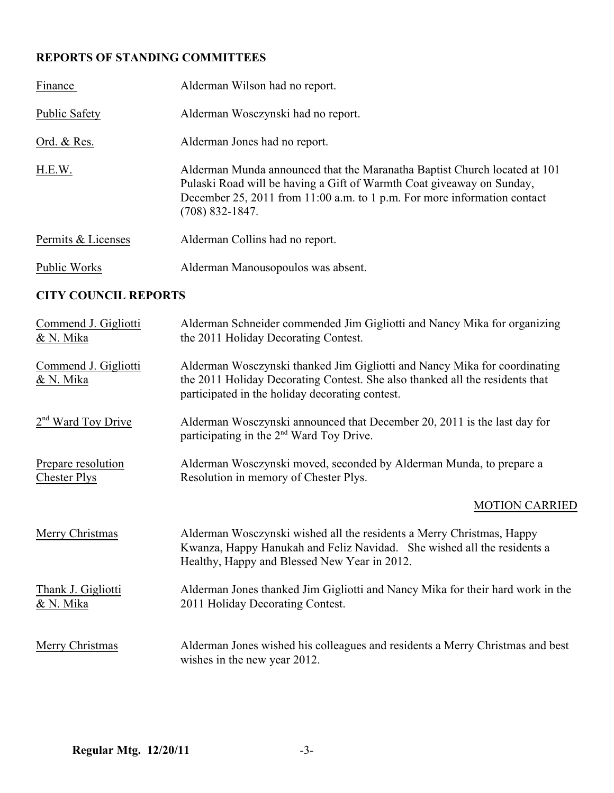# **REPORTS OF STANDING COMMITTEES**

| Finance              | Alderman Wilson had no report.                                                                                                                                                                                                                      |
|----------------------|-----------------------------------------------------------------------------------------------------------------------------------------------------------------------------------------------------------------------------------------------------|
| <b>Public Safety</b> | Alderman Wosczynski had no report.                                                                                                                                                                                                                  |
| Ord. & Res.          | Alderman Jones had no report.                                                                                                                                                                                                                       |
| H.E.W.               | Alderman Munda announced that the Maranatha Baptist Church located at 101<br>Pulaski Road will be having a Gift of Warmth Coat giveaway on Sunday,<br>December 25, 2011 from 11:00 a.m. to 1 p.m. For more information contact<br>$(708)$ 832-1847. |
| Permits & Licenses   | Alderman Collins had no report.                                                                                                                                                                                                                     |
| Public Works         | Alderman Manousopoulos was absent.                                                                                                                                                                                                                  |

# **CITY COUNCIL REPORTS**

| Commend J. Gigliotti<br>& N. Mika         | Alderman Schneider commended Jim Gigliotti and Nancy Mika for organizing<br>the 2011 Holiday Decorating Contest.                                                                                             |
|-------------------------------------------|--------------------------------------------------------------------------------------------------------------------------------------------------------------------------------------------------------------|
| Commend J. Gigliotti<br>& N. Mika         | Alderman Wosczynski thanked Jim Gigliotti and Nancy Mika for coordinating<br>the 2011 Holiday Decorating Contest. She also thanked all the residents that<br>participated in the holiday decorating contest. |
| 2 <sup>nd</sup> Ward Toy Drive            | Alderman Wosczynski announced that December 20, 2011 is the last day for<br>participating in the 2 <sup>nd</sup> Ward Toy Drive.                                                                             |
| Prepare resolution<br><b>Chester Plys</b> | Alderman Wosczynski moved, seconded by Alderman Munda, to prepare a<br>Resolution in memory of Chester Plys.                                                                                                 |
|                                           | <b>MOTION CARRIED</b>                                                                                                                                                                                        |
| Merry Christmas                           | Alderman Wosczynski wished all the residents a Merry Christmas, Happy<br>Kwanza, Happy Hanukah and Feliz Navidad. She wished all the residents a<br>Healthy, Happy and Blessed New Year in 2012.             |
| Thank J. Gigliotti<br>& N. Mika           | Alderman Jones thanked Jim Gigliotti and Nancy Mika for their hard work in the<br>2011 Holiday Decorating Contest.                                                                                           |
| Merry Christmas                           | Alderman Jones wished his colleagues and residents a Merry Christmas and best<br>wishes in the new year 2012.                                                                                                |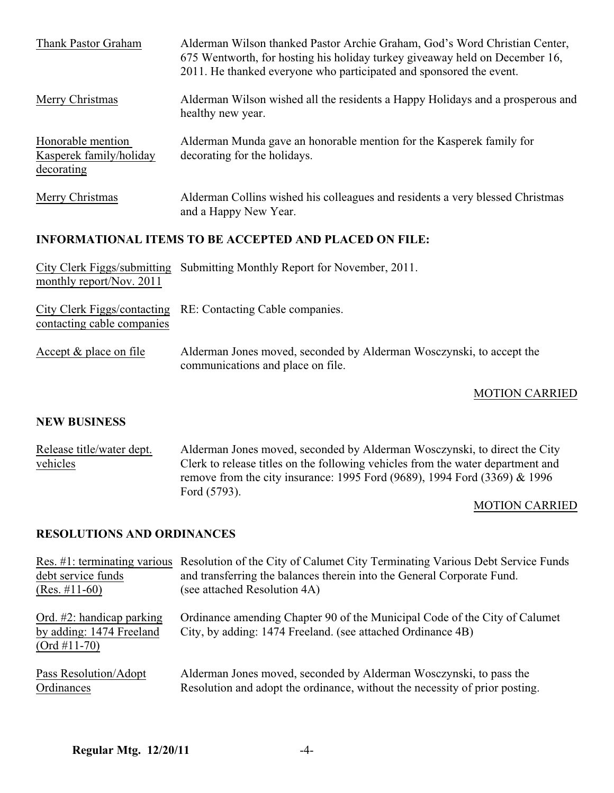| Thank Pastor Graham                                           | Alderman Wilson thanked Pastor Archie Graham, God's Word Christian Center,<br>675 Wentworth, for hosting his holiday turkey give away held on December 16,<br>2011. He thanked everyone who participated and sponsored the event. |  |  |
|---------------------------------------------------------------|-----------------------------------------------------------------------------------------------------------------------------------------------------------------------------------------------------------------------------------|--|--|
| Merry Christmas                                               | Alderman Wilson wished all the residents a Happy Holidays and a prosperous and<br>healthy new year.                                                                                                                               |  |  |
| Honorable mention<br>Kasperek family/holiday<br>decorating    | Alderman Munda gave an honorable mention for the Kasperek family for<br>decorating for the holidays.                                                                                                                              |  |  |
| Merry Christmas                                               | Alderman Collins wished his colleagues and residents a very blessed Christmas<br>and a Happy New Year.                                                                                                                            |  |  |
| <b>INFORMATIONAL ITEMS TO BE ACCEPTED AND PLACED ON FILE:</b> |                                                                                                                                                                                                                                   |  |  |
| City Clerk Figgs/submitting<br>monthly report/Nov. 2011       | Submitting Monthly Report for November, 2011.                                                                                                                                                                                     |  |  |
| City Clerk Figgs/contacting<br>contacting cable companies     | RE: Contacting Cable companies.                                                                                                                                                                                                   |  |  |
| Accept $&$ place on file                                      | Alderman Jones moved, seconded by Alderman Wosczynski, to accept the                                                                                                                                                              |  |  |

# MOTION CARRIED

## **NEW BUSINESS**

| Release title/water dept. | Alderman Jones moved, seconded by Alderman Wosczynski, to direct the City       |
|---------------------------|---------------------------------------------------------------------------------|
| vehicles                  | Clerk to release titles on the following vehicles from the water department and |
|                           | remove from the city insurance: 1995 Ford (9689), 1994 Ford (3369) & 1996       |
|                           | Ford (5793).                                                                    |

communications and place on file.

## MOTION CARRIED

## **RESOLUTIONS AND ORDINANCES**

|                                                                            | Res. #1: terminating various Resolution of the City of Calumet City Terminating Various Debt Service Funds                                |  |  |
|----------------------------------------------------------------------------|-------------------------------------------------------------------------------------------------------------------------------------------|--|--|
| debt service funds                                                         | and transferring the balances therein into the General Corporate Fund.                                                                    |  |  |
| $(Res. \#11-60)$                                                           | (see attached Resolution 4A)                                                                                                              |  |  |
| Ord. $#2$ : handicap parking<br>by adding: 1474 Freeland<br>$(Ord #11-70)$ | Ordinance amending Chapter 90 of the Municipal Code of the City of Calumet<br>City, by adding: 1474 Freeland. (see attached Ordinance 4B) |  |  |
| Pass Resolution/Adopt                                                      | Alderman Jones moved, seconded by Alderman Wosczynski, to pass the                                                                        |  |  |
| Ordinances                                                                 | Resolution and adopt the ordinance, without the necessity of prior posting.                                                               |  |  |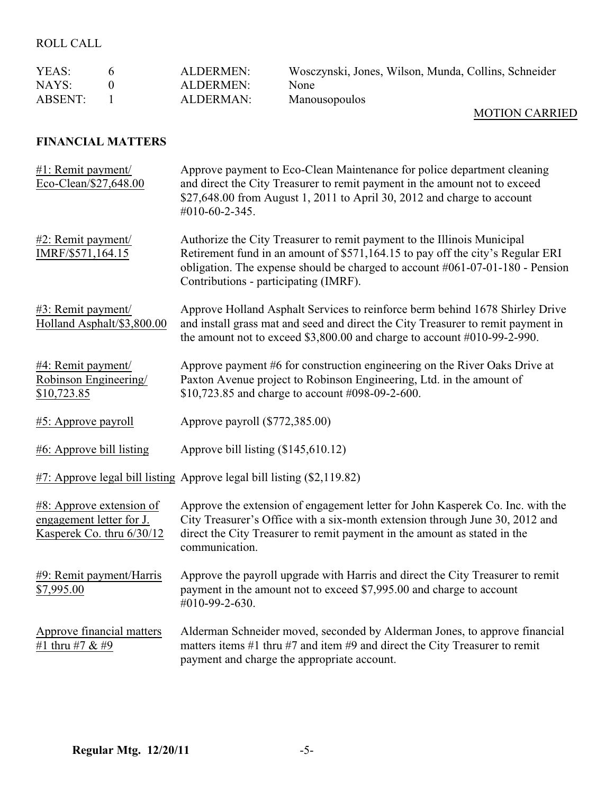# ROLL CALL

| ALDERMEN: | Wosczynski, Jones, Wilson, Munda, Collins, Schneider    |
|-----------|---------------------------------------------------------|
| ALDERMEN: | <b>None</b>                                             |
| ALDERMAN: | Manousopoulos<br>- - - <del>- -</del> - - - - - - - - - |
|           |                                                         |

# MOTION CARRIED

## **FINANCIAL MATTERS**

| #1: Remit payment/<br>Eco-Clean/\$27,648.00                                          | Approve payment to Eco-Clean Maintenance for police department cleaning<br>and direct the City Treasurer to remit payment in the amount not to exceed<br>\$27,648.00 from August 1, 2011 to April 30, 2012 and charge to account<br>#010-60-2-345.                                     |
|--------------------------------------------------------------------------------------|----------------------------------------------------------------------------------------------------------------------------------------------------------------------------------------------------------------------------------------------------------------------------------------|
| #2: Remit payment/<br>IMRF/\$571,164.15                                              | Authorize the City Treasurer to remit payment to the Illinois Municipal<br>Retirement fund in an amount of \$571,164.15 to pay off the city's Regular ERI<br>obligation. The expense should be charged to account $\#061-07-01-180$ - Pension<br>Contributions - participating (IMRF). |
| #3: Remit payment/<br>Holland Asphalt/\$3,800.00                                     | Approve Holland Asphalt Services to reinforce berm behind 1678 Shirley Drive<br>and install grass mat and seed and direct the City Treasurer to remit payment in<br>the amount not to exceed $$3,800.00$ and charge to account $#010-99-2-990$ .                                       |
| #4: Remit payment/<br>Robinson Engineering/<br>\$10,723.85                           | Approve payment #6 for construction engineering on the River Oaks Drive at<br>Paxton Avenue project to Robinson Engineering, Ltd. in the amount of<br>\$10,723.85 and charge to account #098-09-2-600.                                                                                 |
| #5: Approve payroll                                                                  | Approve payroll (\$772,385.00)                                                                                                                                                                                                                                                         |
| $#6$ : Approve bill listing                                                          | Approve bill listing (\$145,610.12)                                                                                                                                                                                                                                                    |
|                                                                                      | #7: Approve legal bill listing Approve legal bill listing (\$2,119.82)                                                                                                                                                                                                                 |
| $#8$ : Approve extension of<br>engagement letter for J.<br>Kasperek Co. thru 6/30/12 | Approve the extension of engagement letter for John Kasperek Co. Inc. with the<br>City Treasurer's Office with a six-month extension through June 30, 2012 and<br>direct the City Treasurer to remit payment in the amount as stated in the<br>communication.                          |
| #9: Remit payment/Harris<br>\$7,995.00                                               | Approve the payroll upgrade with Harris and direct the City Treasurer to remit<br>payment in the amount not to exceed \$7,995.00 and charge to account<br>#010-99-2-630.                                                                                                               |
| Approve financial matters<br>#1 thru #7 & #9                                         | Alderman Schneider moved, seconded by Alderman Jones, to approve financial<br>matters items $#1$ thru $#7$ and item $#9$ and direct the City Treasurer to remit<br>payment and charge the appropriate account.                                                                         |